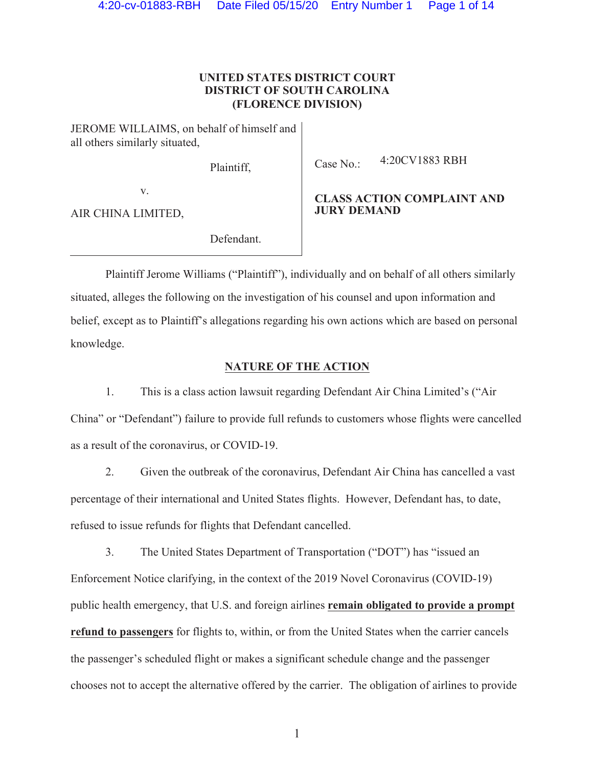# **UNITED STATES DISTRICT COURT DISTRICT OF SOUTH CAROLINA (FLORENCE DIVISION)**

JEROME WILLAIMS, on behalf of himself and all others similarly situated,

Plaintiff,

Case No.: 4:20CV1883 RBH

v.

AIR CHINA LIMITED,

### **CLASS ACTION COMPLAINT AND JURY DEMAND**

Defendant.

Plaintiff Jerome Williams ("Plaintiff"), individually and on behalf of all others similarly situated, alleges the following on the investigation of his counsel and upon information and belief, except as to Plaintiff's allegations regarding his own actions which are based on personal knowledge.

# **NATURE OF THE ACTION**

1. This is a class action lawsuit regarding Defendant Air China Limited's ("Air China" or "Defendant") failure to provide full refunds to customers whose flights were cancelled as a result of the coronavirus, or COVID-19.

2. Given the outbreak of the coronavirus, Defendant Air China has cancelled a vast percentage of their international and United States flights. However, Defendant has, to date, refused to issue refunds for flights that Defendant cancelled.

3. The United States Department of Transportation ("DOT") has "issued an Enforcement Notice clarifying, in the context of the 2019 Novel Coronavirus (COVID-19) public health emergency, that U.S. and foreign airlines **remain obligated to provide a prompt refund to passengers** for flights to, within, or from the United States when the carrier cancels the passenger's scheduled flight or makes a significant schedule change and the passenger chooses not to accept the alternative offered by the carrier. The obligation of airlines to provide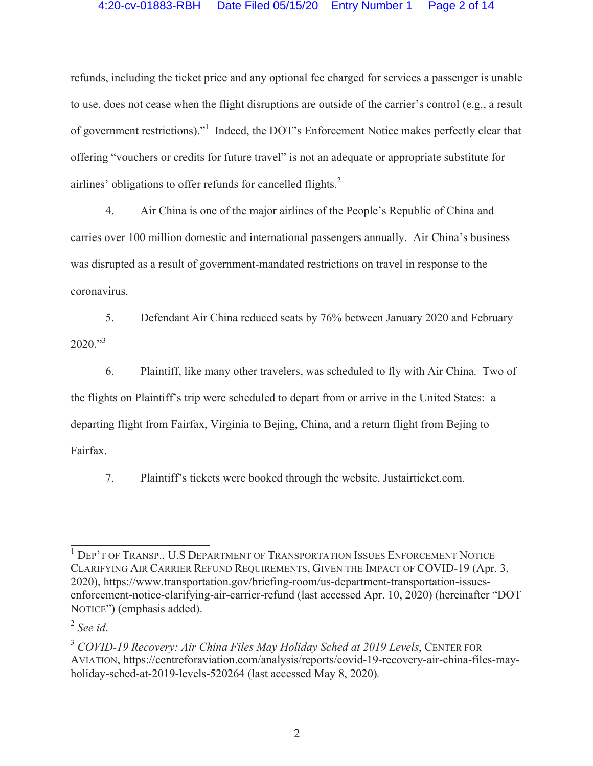### 4:20-cv-01883-RBH Date Filed 05/15/20 Entry Number 1 Page 2 of 14

refunds, including the ticket price and any optional fee charged for services a passenger is unable to use, does not cease when the flight disruptions are outside of the carrier's control (e.g., a result of government restrictions)."<sup>1</sup> Indeed, the DOT's Enforcement Notice makes perfectly clear that offering "vouchers or credits for future travel" is not an adequate or appropriate substitute for airlines' obligations to offer refunds for cancelled flights.<sup>2</sup>

4. Air China is one of the major airlines of the People's Republic of China and carries over 100 million domestic and international passengers annually. Air China's business was disrupted as a result of government-mandated restrictions on travel in response to the coronavirus.

5. Defendant Air China reduced seats by 76% between January 2020 and February  $2020$ ."<sup>3</sup>

6. Plaintiff, like many other travelers, was scheduled to fly with Air China. Two of the flights on Plaintiff's trip were scheduled to depart from or arrive in the United States: a departing flight from Fairfax, Virginia to Bejing, China, and a return flight from Bejing to Fairfax.

7. Plaintiff's tickets were booked through the website, Justairticket.com.

 1 DEP'T OF TRANSP., U.S DEPARTMENT OF TRANSPORTATION ISSUES ENFORCEMENT NOTICE CLARIFYING AIR CARRIER REFUND REQUIREMENTS, GIVEN THE IMPACT OF COVID-19 (Apr. 3, 2020), https://www.transportation.gov/briefing-room/us-department-transportation-issuesenforcement-notice-clarifying-air-carrier-refund (last accessed Apr. 10, 2020) (hereinafter "DOT NOTICE") (emphasis added).

<sup>2</sup> *See id*.

<sup>3</sup> *COVID-19 Recovery: Air China Files May Holiday Sched at 2019 Levels*, CENTER FOR AVIATION, https://centreforaviation.com/analysis/reports/covid-19-recovery-air-china-files-mayholiday-sched-at-2019-levels-520264 (last accessed May 8, 2020)*.*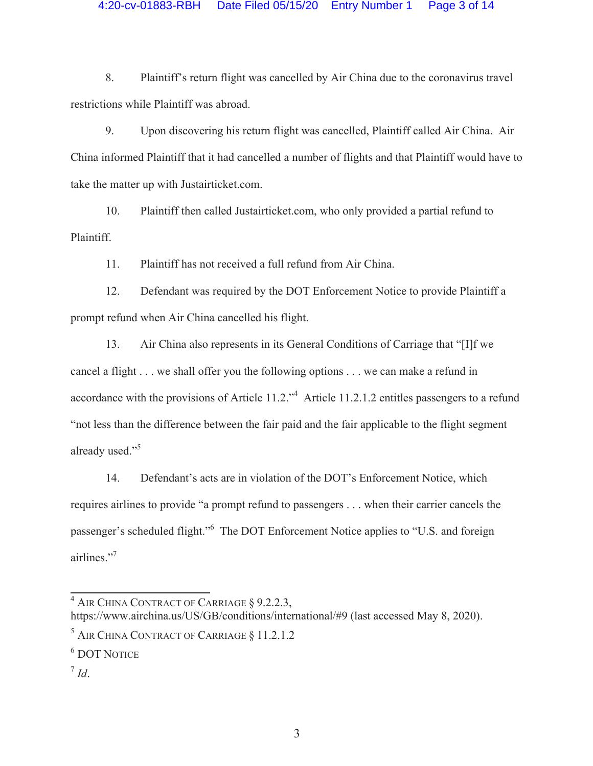#### 4:20-cv-01883-RBH Date Filed 05/15/20 Entry Number 1 Page 3 of 14

8. Plaintiff's return flight was cancelled by Air China due to the coronavirus travel restrictions while Plaintiff was abroad.

9. Upon discovering his return flight was cancelled, Plaintiff called Air China. Air China informed Plaintiff that it had cancelled a number of flights and that Plaintiff would have to take the matter up with Justairticket.com.

10. Plaintiff then called Justairticket.com, who only provided a partial refund to Plaintiff.

11. Plaintiff has not received a full refund from Air China.

12. Defendant was required by the DOT Enforcement Notice to provide Plaintiff a prompt refund when Air China cancelled his flight.

13. Air China also represents in its General Conditions of Carriage that "[I]f we cancel a flight . . . we shall offer you the following options . . . we can make a refund in accordance with the provisions of Article  $11.2$ .<sup> $4$ </sup> Article 11.2.1.2 entitles passengers to a refund "not less than the difference between the fair paid and the fair applicable to the flight segment already used."5

14. Defendant's acts are in violation of the DOT's Enforcement Notice, which requires airlines to provide "a prompt refund to passengers . . . when their carrier cancels the passenger's scheduled flight."<sup>6</sup> The DOT Enforcement Notice applies to "U.S. and foreign airlines."<sup>7</sup>

 4 AIR CHINA CONTRACT OF CARRIAGE § 9.2.2.3,

https://www.airchina.us/US/GB/conditions/international/#9 (last accessed May 8, 2020).

 $^5$  AIR CHINA CONTRACT OF CARRIAGE  $\S~11.2.1.2$ 

<sup>6</sup> DOT NOTICE

 $^7$  *Id*.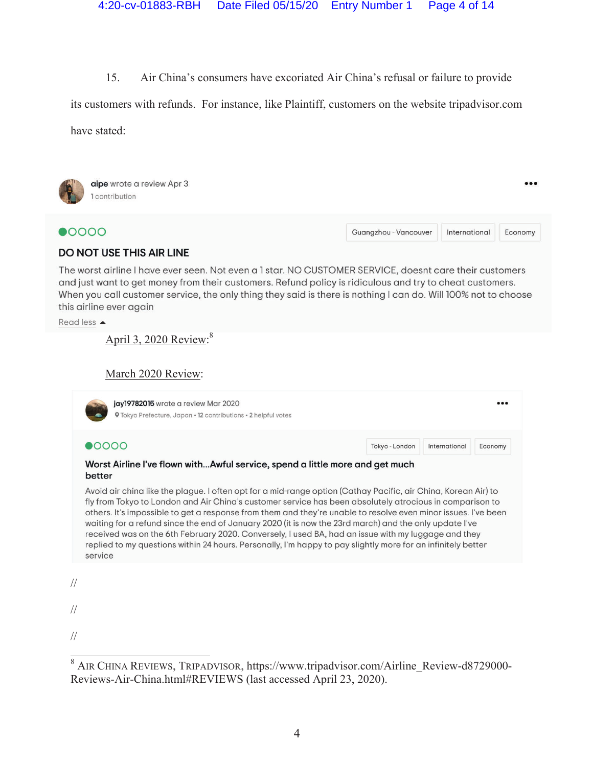15. Air China's consumers have excoriated Air China's refusal or failure to provide

its customers with refunds. For instance, like Plaintiff, customers on the website tripadvisor.com

have stated:



 $\bullet$ 0000

Guangzhou - Vancouver International Economy

...

### **DO NOT USE THIS AIR LINE**

The worst airline I have ever seen. Not even a 1 star. NO CUSTOMER SERVICE, doesnt care their customers and just want to get money from their customers. Refund policy is ridiculous and try to cheat customers. When you call customer service, the only thing they said is there is nothing I can do. Will 100% not to choose this airline ever again

Read less -

April 3, 2020 Review: $8$ 

March 2020 Review:

| $\bullet$ 0000                                                                                                 | Tokyo - London | International | Economy |
|----------------------------------------------------------------------------------------------------------------|----------------|---------------|---------|
| Worst Airline I've flown with Awful service, spend a little more and get much<br>better                        |                |               |         |
| Avoid air china like the plague. I often opt for a mid-range option (Cathay Pacific, air China, Korean Air) to |                |               |         |

//

<sup>&</sup>lt;sup>8</sup> AIR CHINA REVIEWS, TRIPADVISOR, https://www.tripadvisor.com/Airline\_Review-d8729000-Reviews-Air-China.html#REVIEWS (last accessed April 23, 2020).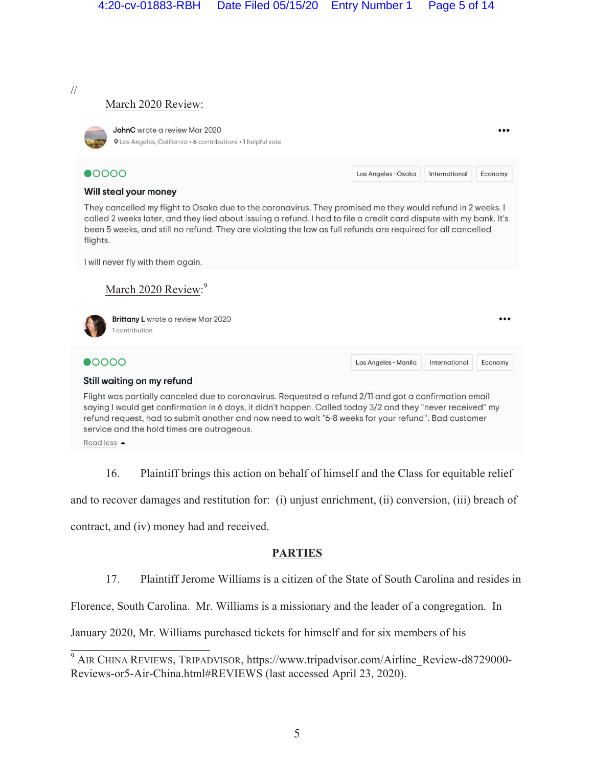//

# March 2020 Review:

JohnC wrote a review Mar 2020 **QLos Angeles, California • 6 contributions • 1 helpful vote** 

 $\bullet$ 0000

#### Will steal your money

They cancelled my flight to Osaka due to the coronavirus. They promised me they would refund in 2 weeks. I called 2 weeks later, and they lied about issuing a refund. I had to file a credit card dispute with my bank. It's been 5 weeks, and still no refund. They are violating the law as full refunds are required for all cancelled flights.

I will never fly with them again.

March 2020 Review:<sup>9</sup>



Brittany L wrote a review Mar 2020 1 contribution

# $\bullet$ 0000

Los Angeles - Manila International Economy

International

Los Angeles - Osaka

...

 $\ddot{\phantom{a}}$ 

Economy

#### Still waiting on my refund

Flight was partially canceled due to coronavirus. Requested a refund 2/11 and got a confirmation email saying I would get confirmation in 6 days, it didn't happen. Called today 3/2 and they "never received" my refund request, had to submit another and now need to wait "6-8 weeks for your refund". Bad customer service and the hold times are outrageous.

Read less ▲

16. Plaintiff brings this action on behalf of himself and the Class for equitable relief

and to recover damages and restitution for: (i) unjust enrichment, (ii) conversion, (iii) breach of

contract, and (iv) money had and received.

# **PARTIES**

17. Plaintiff Jerome Williams is a citizen of the State of South Carolina and resides in

Florence, South Carolina. Mr. Williams is a missionary and the leader of a congregation. In

January 2020, Mr. Williams purchased tickets for himself and for six members of his

<sup>&</sup>lt;sup>9</sup> AIR CHINA REVIEWS, TRIPADVISOR, https://www.tripadvisor.com/Airline\_Review-d8729000-Reviews-or5-Air-China.html#REVIEWS (last accessed April 23, 2020).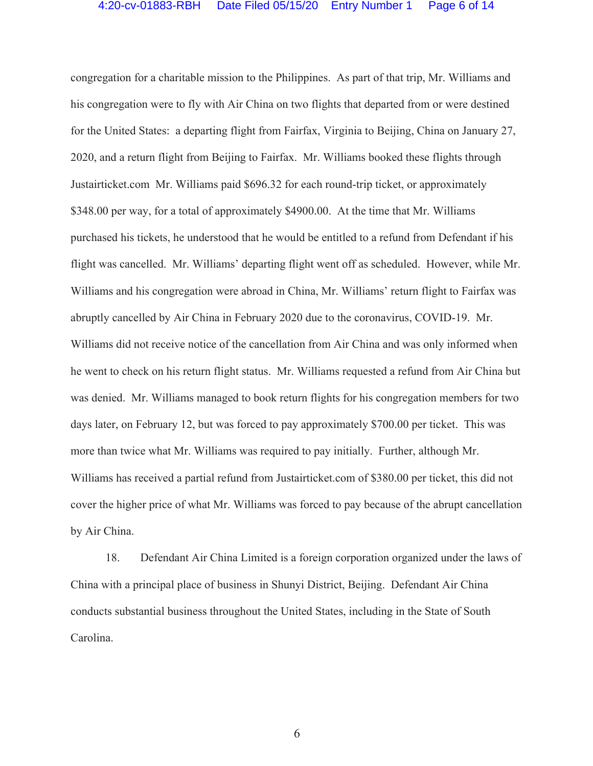congregation for a charitable mission to the Philippines. As part of that trip, Mr. Williams and his congregation were to fly with Air China on two flights that departed from or were destined for the United States: a departing flight from Fairfax, Virginia to Beijing, China on January 27, 2020, and a return flight from Beijing to Fairfax. Mr. Williams booked these flights through Justairticket.com Mr. Williams paid \$696.32 for each round-trip ticket, or approximately \$348.00 per way, for a total of approximately \$4900.00. At the time that Mr. Williams purchased his tickets, he understood that he would be entitled to a refund from Defendant if his flight was cancelled. Mr. Williams' departing flight went off as scheduled. However, while Mr. Williams and his congregation were abroad in China, Mr. Williams' return flight to Fairfax was abruptly cancelled by Air China in February 2020 due to the coronavirus, COVID-19. Mr. Williams did not receive notice of the cancellation from Air China and was only informed when he went to check on his return flight status. Mr. Williams requested a refund from Air China but was denied. Mr. Williams managed to book return flights for his congregation members for two days later, on February 12, but was forced to pay approximately \$700.00 per ticket. This was more than twice what Mr. Williams was required to pay initially. Further, although Mr. Williams has received a partial refund from Justairticket.com of \$380.00 per ticket, this did not cover the higher price of what Mr. Williams was forced to pay because of the abrupt cancellation by Air China.

18. Defendant Air China Limited is a foreign corporation organized under the laws of China with a principal place of business in Shunyi District, Beijing. Defendant Air China conducts substantial business throughout the United States, including in the State of South Carolina.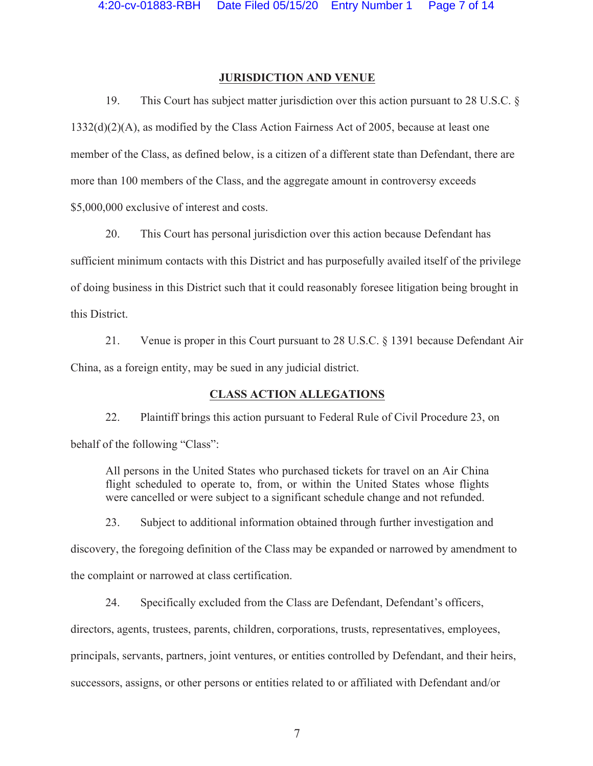### **JURISDICTION AND VENUE**

19. This Court has subject matter jurisdiction over this action pursuant to 28 U.S.C. § 1332(d)(2)(A), as modified by the Class Action Fairness Act of 2005, because at least one member of the Class, as defined below, is a citizen of a different state than Defendant, there are more than 100 members of the Class, and the aggregate amount in controversy exceeds \$5,000,000 exclusive of interest and costs.

20. This Court has personal jurisdiction over this action because Defendant has sufficient minimum contacts with this District and has purposefully availed itself of the privilege of doing business in this District such that it could reasonably foresee litigation being brought in this District.

21. Venue is proper in this Court pursuant to 28 U.S.C. § 1391 because Defendant Air China, as a foreign entity, may be sued in any judicial district.

### **CLASS ACTION ALLEGATIONS**

22. Plaintiff brings this action pursuant to Federal Rule of Civil Procedure 23, on behalf of the following "Class":

All persons in the United States who purchased tickets for travel on an Air China flight scheduled to operate to, from, or within the United States whose flights were cancelled or were subject to a significant schedule change and not refunded.

23. Subject to additional information obtained through further investigation and

discovery, the foregoing definition of the Class may be expanded or narrowed by amendment to

the complaint or narrowed at class certification.

24. Specifically excluded from the Class are Defendant, Defendant's officers,

directors, agents, trustees, parents, children, corporations, trusts, representatives, employees,

principals, servants, partners, joint ventures, or entities controlled by Defendant, and their heirs,

successors, assigns, or other persons or entities related to or affiliated with Defendant and/or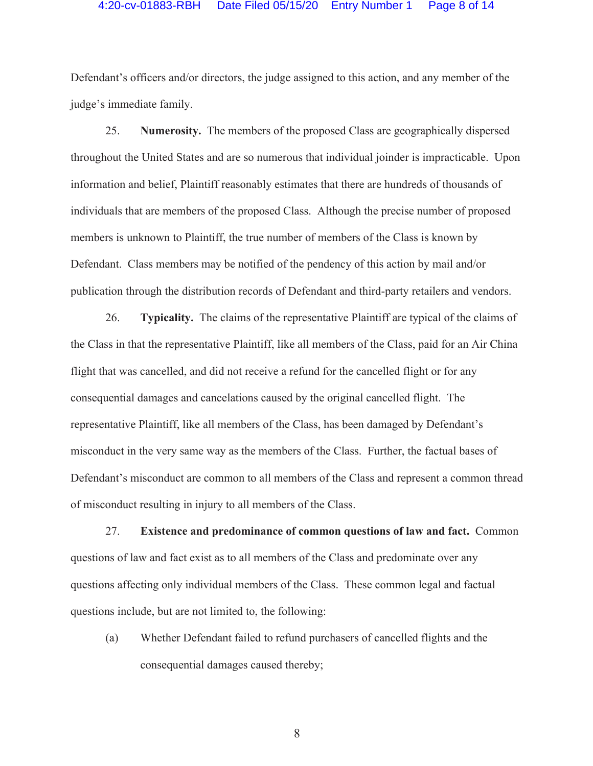#### 4:20-cv-01883-RBH Date Filed 05/15/20 Entry Number 1 Page 8 of 14

Defendant's officers and/or directors, the judge assigned to this action, and any member of the judge's immediate family.

25. **Numerosity.** The members of the proposed Class are geographically dispersed throughout the United States and are so numerous that individual joinder is impracticable. Upon information and belief, Plaintiff reasonably estimates that there are hundreds of thousands of individuals that are members of the proposed Class. Although the precise number of proposed members is unknown to Plaintiff, the true number of members of the Class is known by Defendant. Class members may be notified of the pendency of this action by mail and/or publication through the distribution records of Defendant and third-party retailers and vendors.

26. **Typicality.** The claims of the representative Plaintiff are typical of the claims of the Class in that the representative Plaintiff, like all members of the Class, paid for an Air China flight that was cancelled, and did not receive a refund for the cancelled flight or for any consequential damages and cancelations caused by the original cancelled flight. The representative Plaintiff, like all members of the Class, has been damaged by Defendant's misconduct in the very same way as the members of the Class. Further, the factual bases of Defendant's misconduct are common to all members of the Class and represent a common thread of misconduct resulting in injury to all members of the Class.

27. **Existence and predominance of common questions of law and fact.** Common questions of law and fact exist as to all members of the Class and predominate over any questions affecting only individual members of the Class. These common legal and factual questions include, but are not limited to, the following:

(a) Whether Defendant failed to refund purchasers of cancelled flights and the consequential damages caused thereby;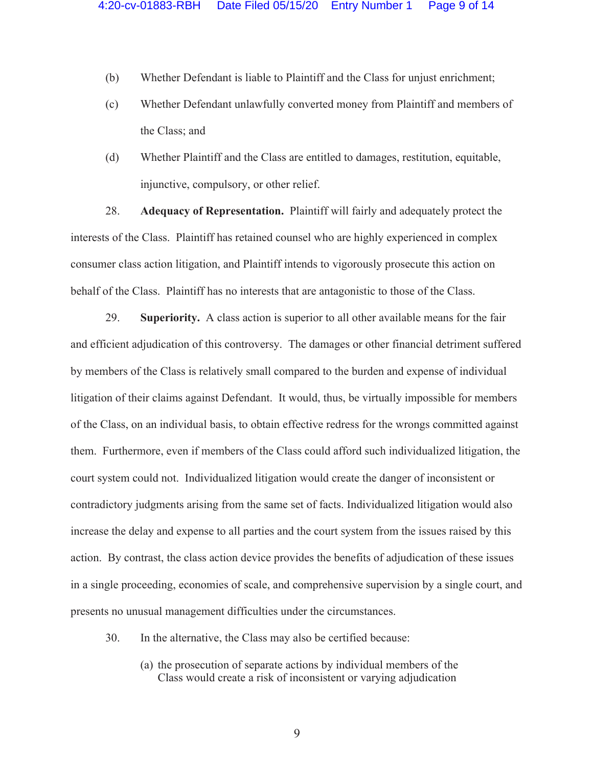- (b) Whether Defendant is liable to Plaintiff and the Class for unjust enrichment;
- (c) Whether Defendant unlawfully converted money from Plaintiff and members of the Class; and
- (d) Whether Plaintiff and the Class are entitled to damages, restitution, equitable, injunctive, compulsory, or other relief.

28. **Adequacy of Representation.** Plaintiff will fairly and adequately protect the interests of the Class. Plaintiff has retained counsel who are highly experienced in complex consumer class action litigation, and Plaintiff intends to vigorously prosecute this action on behalf of the Class. Plaintiff has no interests that are antagonistic to those of the Class.

29. **Superiority.** A class action is superior to all other available means for the fair and efficient adjudication of this controversy. The damages or other financial detriment suffered by members of the Class is relatively small compared to the burden and expense of individual litigation of their claims against Defendant. It would, thus, be virtually impossible for members of the Class, on an individual basis, to obtain effective redress for the wrongs committed against them. Furthermore, even if members of the Class could afford such individualized litigation, the court system could not. Individualized litigation would create the danger of inconsistent or contradictory judgments arising from the same set of facts. Individualized litigation would also increase the delay and expense to all parties and the court system from the issues raised by this action. By contrast, the class action device provides the benefits of adjudication of these issues in a single proceeding, economies of scale, and comprehensive supervision by a single court, and presents no unusual management difficulties under the circumstances.

- 30. In the alternative, the Class may also be certified because:
	- (a) the prosecution of separate actions by individual members of the Class would create a risk of inconsistent or varying adjudication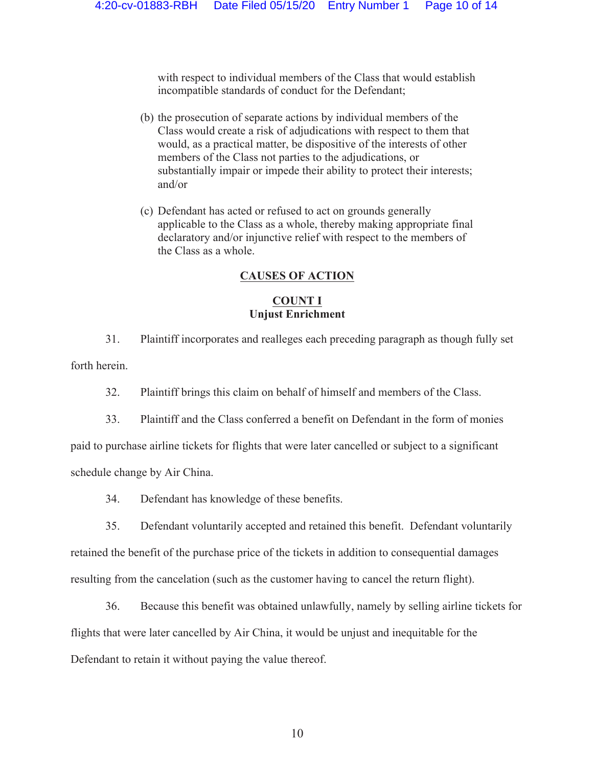with respect to individual members of the Class that would establish incompatible standards of conduct for the Defendant;

- (b) the prosecution of separate actions by individual members of the Class would create a risk of adjudications with respect to them that would, as a practical matter, be dispositive of the interests of other members of the Class not parties to the adjudications, or substantially impair or impede their ability to protect their interests; and/or
- (c) Defendant has acted or refused to act on grounds generally applicable to the Class as a whole, thereby making appropriate final declaratory and/or injunctive relief with respect to the members of the Class as a whole.

# **CAUSES OF ACTION**

## **COUNT I Unjust Enrichment**

31. Plaintiff incorporates and realleges each preceding paragraph as though fully set forth herein.

- 32. Plaintiff brings this claim on behalf of himself and members of the Class.
- 33. Plaintiff and the Class conferred a benefit on Defendant in the form of monies

paid to purchase airline tickets for flights that were later cancelled or subject to a significant schedule change by Air China.

34. Defendant has knowledge of these benefits.

35. Defendant voluntarily accepted and retained this benefit. Defendant voluntarily retained the benefit of the purchase price of the tickets in addition to consequential damages resulting from the cancelation (such as the customer having to cancel the return flight).

36. Because this benefit was obtained unlawfully, namely by selling airline tickets for flights that were later cancelled by Air China, it would be unjust and inequitable for the Defendant to retain it without paying the value thereof.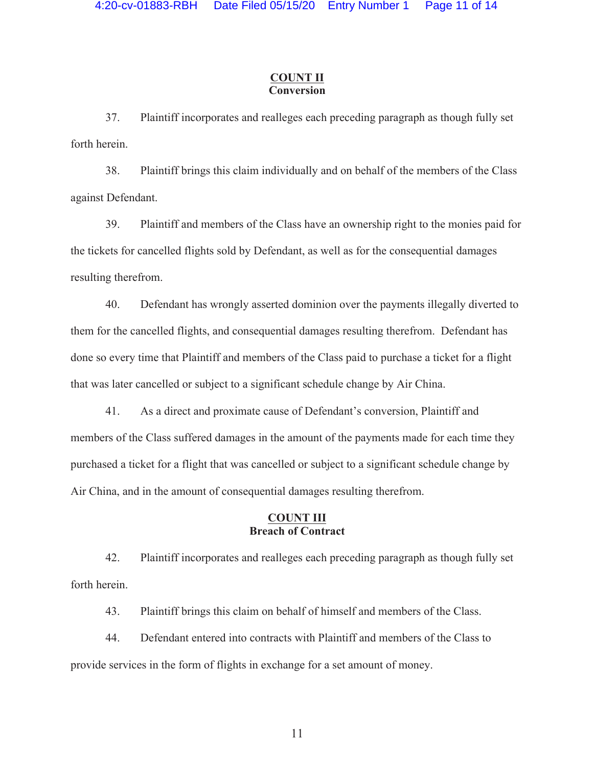## **COUNT II Conversion**

37. Plaintiff incorporates and realleges each preceding paragraph as though fully set forth herein.

38. Plaintiff brings this claim individually and on behalf of the members of the Class against Defendant.

39. Plaintiff and members of the Class have an ownership right to the monies paid for the tickets for cancelled flights sold by Defendant, as well as for the consequential damages resulting therefrom.

40. Defendant has wrongly asserted dominion over the payments illegally diverted to them for the cancelled flights, and consequential damages resulting therefrom. Defendant has done so every time that Plaintiff and members of the Class paid to purchase a ticket for a flight that was later cancelled or subject to a significant schedule change by Air China.

41. As a direct and proximate cause of Defendant's conversion, Plaintiff and members of the Class suffered damages in the amount of the payments made for each time they purchased a ticket for a flight that was cancelled or subject to a significant schedule change by Air China, and in the amount of consequential damages resulting therefrom.

## **COUNT III Breach of Contract**

42. Plaintiff incorporates and realleges each preceding paragraph as though fully set forth herein.

43. Plaintiff brings this claim on behalf of himself and members of the Class.

44. Defendant entered into contracts with Plaintiff and members of the Class to provide services in the form of flights in exchange for a set amount of money.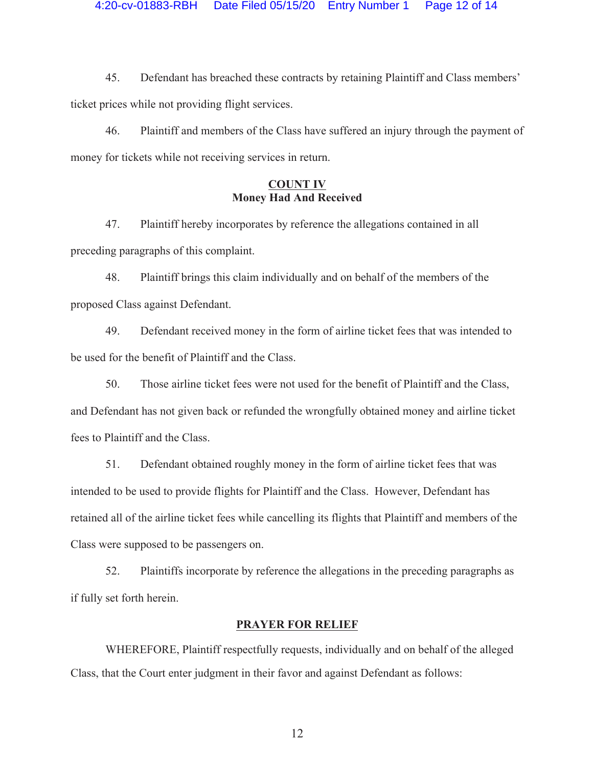45. Defendant has breached these contracts by retaining Plaintiff and Class members' ticket prices while not providing flight services.

46. Plaintiff and members of the Class have suffered an injury through the payment of money for tickets while not receiving services in return.

## **COUNT IV Money Had And Received**

47. Plaintiff hereby incorporates by reference the allegations contained in all preceding paragraphs of this complaint.

48. Plaintiff brings this claim individually and on behalf of the members of the proposed Class against Defendant.

49. Defendant received money in the form of airline ticket fees that was intended to be used for the benefit of Plaintiff and the Class.

50. Those airline ticket fees were not used for the benefit of Plaintiff and the Class, and Defendant has not given back or refunded the wrongfully obtained money and airline ticket fees to Plaintiff and the Class.

51. Defendant obtained roughly money in the form of airline ticket fees that was intended to be used to provide flights for Plaintiff and the Class. However, Defendant has retained all of the airline ticket fees while cancelling its flights that Plaintiff and members of the Class were supposed to be passengers on.

52. Plaintiffs incorporate by reference the allegations in the preceding paragraphs as if fully set forth herein.

## **PRAYER FOR RELIEF**

WHEREFORE, Plaintiff respectfully requests, individually and on behalf of the alleged Class, that the Court enter judgment in their favor and against Defendant as follows: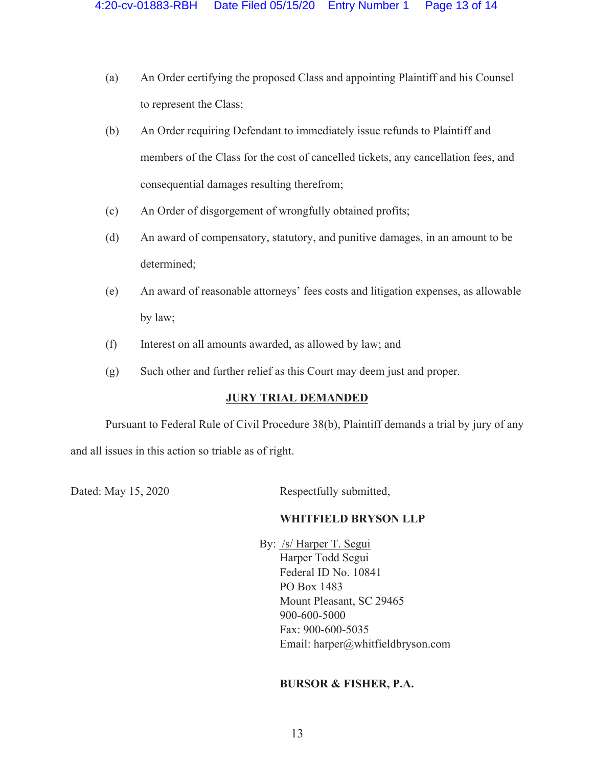- (a) An Order certifying the proposed Class and appointing Plaintiff and his Counsel to represent the Class;
- (b) An Order requiring Defendant to immediately issue refunds to Plaintiff and members of the Class for the cost of cancelled tickets, any cancellation fees, and consequential damages resulting therefrom;
- (c) An Order of disgorgement of wrongfully obtained profits;
- (d) An award of compensatory, statutory, and punitive damages, in an amount to be determined;
- (e) An award of reasonable attorneys' fees costs and litigation expenses, as allowable by law;
- (f) Interest on all amounts awarded, as allowed by law; and
- (g) Such other and further relief as this Court may deem just and proper.

### **JURY TRIAL DEMANDED**

Pursuant to Federal Rule of Civil Procedure 38(b), Plaintiff demands a trial by jury of any and all issues in this action so triable as of right.

Dated: May 15, 2020 Respectfully submitted,

### **WHITFIELD BRYSON LLP**

 By: /s/ Harper T. Segui Harper Todd Segui Federal ID No. 10841 PO Box 1483 Mount Pleasant, SC 29465 900-600-5000 Fax: 900-600-5035 Email: harper@whitfieldbryson.com

#### **BURSOR & FISHER, P.A.**